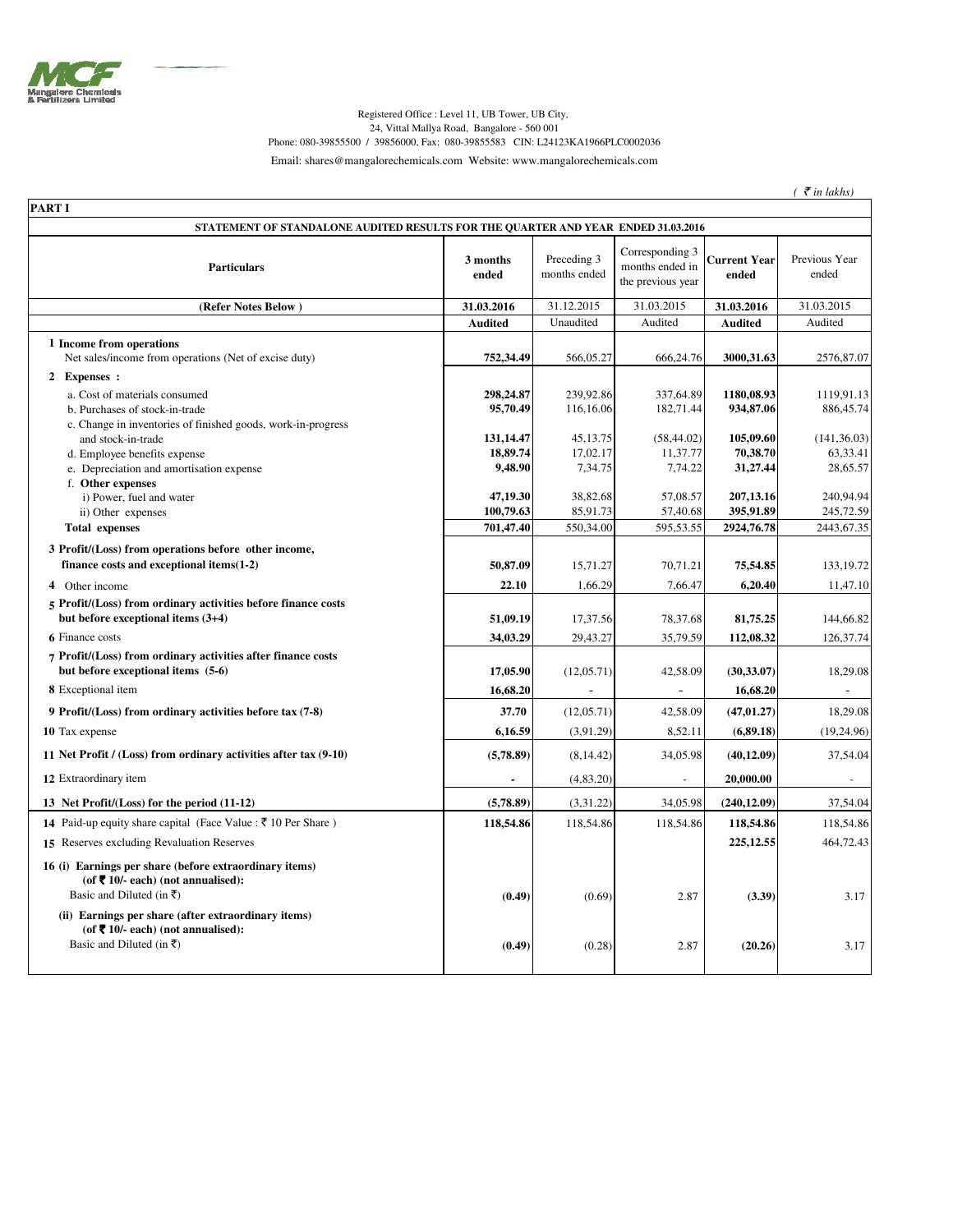

## Registered Office : Level 11, UB Tower, UB City, 24, Vittal Mallya Road, Bangalore - 560 001 Phone: 080-39855500 / 39856000, Fax: 080-39855583 CIN: L24123KA1966PLC0002036 Email: shares@mangalorechemicals.com Website: www.mangalorechemicals.com

 $($   $\bar{\tau}$  *in lakhs* $)$ 

٦

| <b>PART I</b>                                                                                                                     |                       |                             |                                                         |                              |                          |
|-----------------------------------------------------------------------------------------------------------------------------------|-----------------------|-----------------------------|---------------------------------------------------------|------------------------------|--------------------------|
| STATEMENT OF STANDALONE AUDITED RESULTS FOR THE QUARTER AND YEAR ENDED 31.03.2016                                                 |                       |                             |                                                         |                              |                          |
| <b>Particulars</b>                                                                                                                | 3 months<br>ended     | Preceding 3<br>months ended | Corresponding 3<br>months ended in<br>the previous year | <b>Current Year</b><br>ended | Previous Year<br>ended   |
| (Refer Notes Below)                                                                                                               | 31.03.2016            | 31.12.2015                  | 31.03.2015                                              | 31.03.2016                   | 31.03.2015               |
|                                                                                                                                   | <b>Audited</b>        | Unaudited                   | Audited                                                 | <b>Audited</b>               | Audited                  |
| 1 Income from operations                                                                                                          |                       |                             |                                                         |                              |                          |
| Net sales/income from operations (Net of excise duty)                                                                             | 752,34.49             | 566,05.27                   | 666,24.76                                               | 3000,31.63                   | 2576,87.07               |
| 2 Expenses :                                                                                                                      |                       |                             |                                                         |                              |                          |
| a. Cost of materials consumed                                                                                                     | 298,24.87             | 239.92.86                   | 337,64.89                                               | 1180,08.93                   | 1119.91.13               |
| b. Purchases of stock-in-trade                                                                                                    | 95,70.49              | 116,16.06                   | 182,71.44                                               | 934,87.06                    | 886,45.74                |
| c. Change in inventories of finished goods, work-in-progress                                                                      |                       |                             |                                                         | 105,09.60                    |                          |
| and stock-in-trade<br>d. Employee benefits expense                                                                                | 131,14.47<br>18,89.74 | 45,13.75<br>17,02.17        | (58, 44.02)<br>11,37.77                                 | 70,38.70                     | (141, 36.03)<br>63,33.41 |
| e. Depreciation and amortisation expense                                                                                          | 9,48.90               | 7,34.75                     | 7,74.22                                                 | 31,27.44                     | 28,65.57                 |
| f. Other expenses                                                                                                                 |                       |                             |                                                         |                              |                          |
| i) Power, fuel and water                                                                                                          | 47,19.30              | 38,82.68                    | 57,08.57                                                | 207,13.16                    | 240,94.94                |
| ii) Other expenses                                                                                                                | 100,79.63             | 85,91.73                    | 57,40.68                                                | 395,91.89                    | 245,72.59                |
| <b>Total expenses</b>                                                                                                             | 701,47.40             | 550,34.00                   | 595,53.55                                               | 2924,76.78                   | 2443, 67.35              |
| 3 Profit/(Loss) from operations before other income,                                                                              |                       |                             |                                                         |                              |                          |
| finance costs and exceptional items $(1-2)$                                                                                       | 50,87.09              | 15,71.27                    | 70,71.21                                                | 75,54.85                     | 133, 19.72               |
| 4 Other income                                                                                                                    | 22.10                 | 1,66.29                     | 7,66.47                                                 | 6,20.40                      | 11,47.10                 |
| 5 Profit/(Loss) from ordinary activities before finance costs                                                                     |                       |                             |                                                         |                              |                          |
| but before exceptional items $(3+4)$                                                                                              | 51,09.19              | 17,37.56                    | 78,37.68                                                | 81,75.25                     | 144,66.82                |
| <b>6</b> Finance costs                                                                                                            | 34,03.29              | 29,43.27                    | 35,79.59                                                | 112,08.32                    | 126,37.74                |
| 7 Profit/(Loss) from ordinary activities after finance costs<br>but before exceptional items (5-6)                                | 17,05.90              | (12,05.71)                  | 42,58.09                                                | (30, 33.07)                  | 18,29.08                 |
| 8 Exceptional item                                                                                                                | 16,68.20              | $\overline{a}$              | $\blacksquare$                                          | 16,68.20                     | $\overline{\phantom{a}}$ |
| 9 Profit/(Loss) from ordinary activities before tax (7-8)                                                                         | 37.70                 | (12,05.71)                  | 42,58.09                                                | (47, 01.27)                  | 18,29.08                 |
| 10 Tax expense                                                                                                                    | 6,16.59               | (3,91.29)                   | 8,52.11                                                 | (6, 89.18)                   | (19, 24.96)              |
| 11 Net Profit / (Loss) from ordinary activities after tax (9-10)                                                                  | (5,78.89)             | (8, 14.42)                  | 34,05.98                                                | (40, 12.09)                  | 37,54.04                 |
| 12 Extraordinary item                                                                                                             | $\blacksquare$        | (4, 83.20)                  | $\sim$                                                  | 20,000.00                    | $\overline{\phantom{a}}$ |
| 13 Net Profit/(Loss) for the period (11-12)                                                                                       | (5,78.89)             | (3,31.22)                   | 34,05.98                                                | (240, 12.09)                 | 37,54.04                 |
| <b>14</b> Paid-up equity share capital (Face Value : ₹ 10 Per Share)                                                              | 118,54.86             | 118,54.86                   | 118,54.86                                               | 118,54.86                    | 118,54.86                |
| 15 Reserves excluding Revaluation Reserves                                                                                        |                       |                             |                                                         | 225, 12.55                   | 464,72.43                |
| 16 (i) Earnings per share (before extraordinary items)<br>(of ₹ 10/- each) (not annualised):<br>Basic and Diluted (in $\bar{x}$ ) | (0.49)                | (0.69)                      | 2.87                                                    | (3.39)                       | 3.17                     |
| (ii) Earnings per share (after extraordinary items)<br>(of ₹ 10/- each) (not annualised):                                         |                       |                             |                                                         |                              |                          |
| Basic and Diluted (in ₹)                                                                                                          | (0.49)                | (0.28)                      | 2.87                                                    | (20.26)                      | 3.17                     |
|                                                                                                                                   |                       |                             |                                                         |                              |                          |